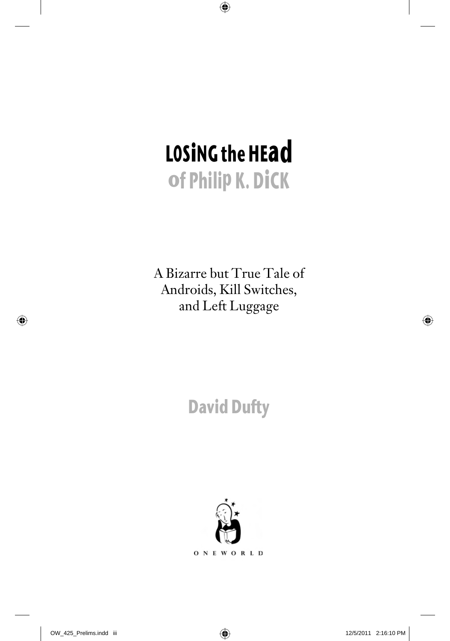## **LOSiNG the HEad of Philip K. DiCK**

A Bizarre but True Tale of Androids, Kill Switches, and Left Luggage

**David Dufty**

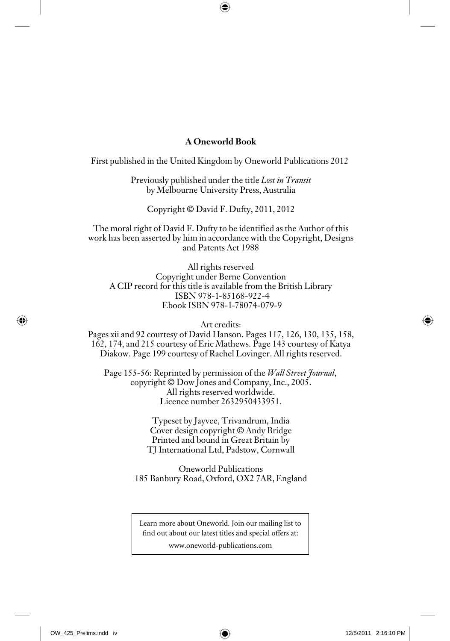#### **A Oneworld Book**

First published in the United Kingdom by Oneworld Publications 2012

Previously published under the title *Lost in Transit* by Melbourne University Press, Australia

Copyright © David F. Dufty, 2011, 2012

The moral right of David F. Dufty to be identified as the Author of this work has been asserted by him in accordance with the Copyright, Designs and Patents Act 1988

All rights reserved Copyright under Berne Convention A CIP record for this title is available from the British Library ISBN 978-1 85168-922-4 - Ebook ISBN 978-1 78074-079-9 -

Art credits:

Pages xii and 92 courtesy of David Hanson. Pages 117, 126, 130, 135, 158, 162, 174, and 215 courtesy of Eric Mathews. Page 143 courtesy of Katya Diakow. Page 199 courtesy of Rachel Lovinger. All rights reserved.

Page 155-56: Reprinted by permission of the *Wall Street Journal*, copyright © Dow Jones and Company, Inc., 2005. All rights reserved worldwide. Licence number 2632950433951.

> Typeset by Jayvee, Trivandrum, India Cover design copyright © Andy Bridge Printed and bound in Great Britain by TJ International Ltd, Padstow, Cornwall

Oneworld Publications 185 Banbury Road, Oxford, OX2 7AR, England

Learn more about Oneworld. Join our mailing list to find out about our latest titles and special offers at:

www.oneworld-publications.com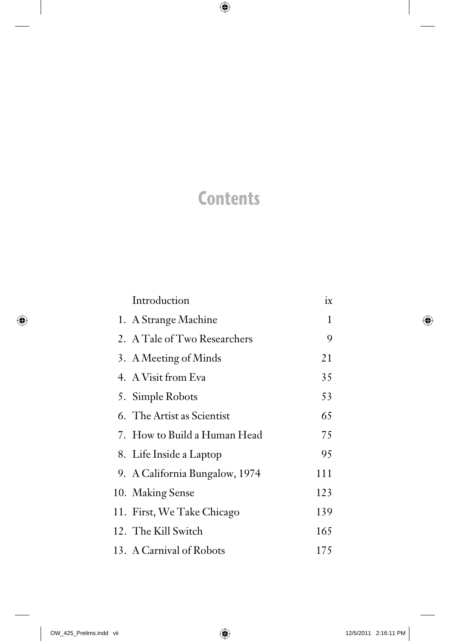### **Contents**

| Introduction                   | ix  |
|--------------------------------|-----|
| 1. A Strange Machine           | 1   |
| 2. A Tale of Two Researchers   | 9   |
| 3. A Meeting of Minds          | 21  |
| 4. A Visit from Eva            | 35  |
| 5. Simple Robots               | 53  |
| 6. The Artist as Scientist     | 65  |
| 7. How to Build a Human Head   | 75  |
| 8. Life Inside a Laptop        | 95  |
| 9. A California Bungalow, 1974 | 111 |
| 10. Making Sense               | 123 |
| 11. First, We Take Chicago     | 139 |
| 12. The Kill Switch            | 165 |
| 13. A Carnival of Robots       | 175 |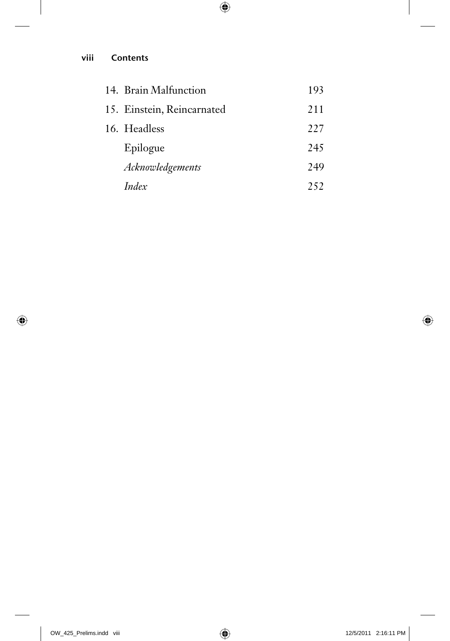| 14. Brain Malfunction      | 193 |
|----------------------------|-----|
| 15. Einstein, Reincarnated | 211 |
| 16. Headless               | 227 |
| Epilogue                   | 245 |
| Acknowledgements           | 249 |
| Index                      | 252 |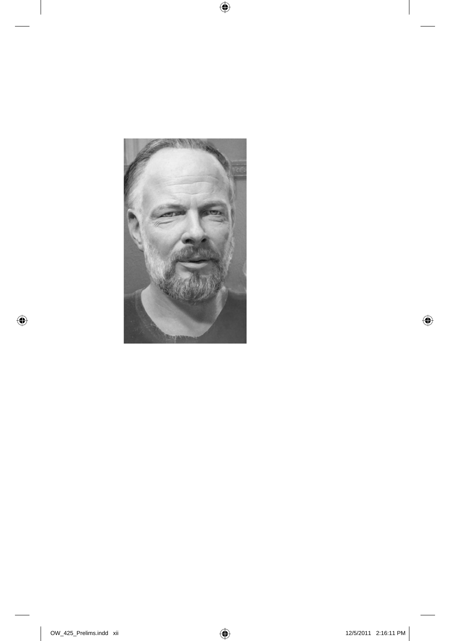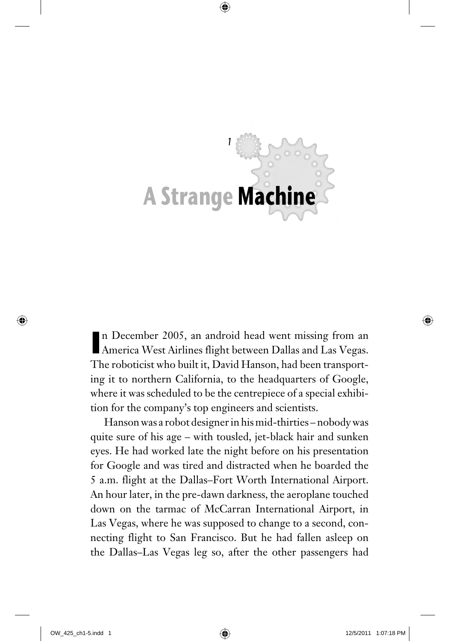# *1* **A Strange Machine**

In December 2005, an android head went missing from an America West Airlines flight between Dallas and Las Vegas. n December 2005, an android head went missing from an The roboticist who built it, David Hanson, had been transporting it to northern California, to the headquarters of Google, where it was scheduled to be the centrepiece of a special exhibition for the company's top engineers and scientists.

Hanson was a robot designer in his mid-thirties – nobody was quite sure of his age – with tousled, jet-black hair and sunken eyes. He had worked late the night before on his presentation for Google and was tired and distracted when he boarded the 5 a.m. flight at the Dallas–Fort Worth International Airport. An hour later, in the pre-dawn darkness, the aeroplane touched down on the tarmac of McCarran International Airport, in Las Vegas, where he was supposed to change to a second, connecting flight to San Francisco. But he had fallen asleep on the Dallas–Las Vegas leg so, after the other passengers had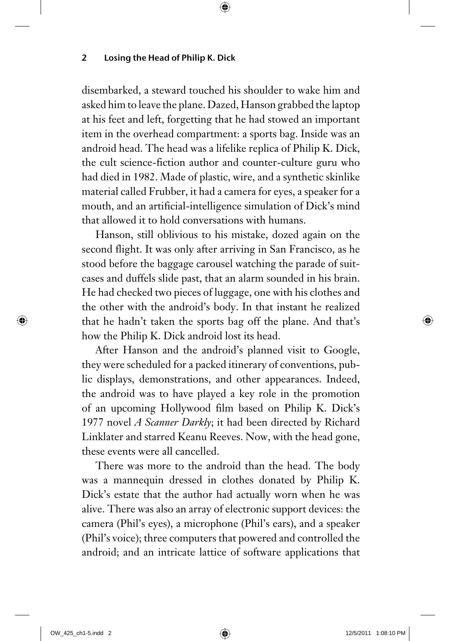disembarked, a steward touched his shoulder to wake him and asked him to leave the plane. Dazed, Hanson grabbed the laptop at his feet and left, forgetting that he had stowed an important item in the overhead compartment: a sports bag. Inside was an android head. The head was a lifelike replica of Philip K. Dick, the cult science-fiction author and counter-culture guru who had died in 1982. Made of plastic, wire, and a synthetic skinlike material called Frubber, it had a camera for eyes, a speaker for a mouth, and an artificial-intelligence simulation of Dick's mind that allowed it to hold conversations with humans.

Hanson, still oblivious to his mistake, dozed again on the second flight. It was only after arriving in San Francisco, as he stood before the baggage carousel watching the parade of suitcases and duffels slide past, that an alarm sounded in his brain. He had checked two pieces of luggage, one with his clothes and the other with the android's body. In that instant he realized that he hadn't taken the sports bag off the plane. And that's how the Philip K. Dick android lost its head.

After Hanson and the android's planned visit to Google, they were scheduled for a packed itinerary of conventions, public displays, demonstrations, and other appearances. Indeed, the android was to have played a key role in the promotion of an upcoming Hollywood film based on Philip K. Dick's 1977 novel *A Scanner Darkly*; it had been directed by Richard Linklater and starred Keanu Reeves. Now, with the head gone, these events were all cancelled.

There was more to the android than the head. The body was a mannequin dressed in clothes donated by Philip K. Dick's estate that the author had actually worn when he was alive. There was also an array of electronic support devices: the camera (Phil's eyes), a microphone (Phil's ears), and a speaker (Phil's voice); three computers that powered and controlled the android; and an intricate lattice of software applications that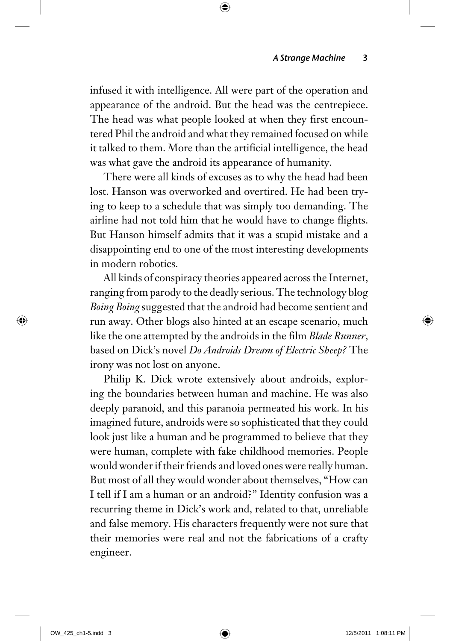infused it with intelligence. All were part of the operation and appearance of the android. But the head was the centrepiece. The head was what people looked at when they first encountered Phil the android and what they remained focused on while it talked to them. More than the artificial intelligence, the head was what gave the android its appearance of humanity.

There were all kinds of excuses as to why the head had been lost. Hanson was overworked and overtired. He had been trying to keep to a schedule that was simply too demanding. The airline had not told him that he would have to change flights. But Hanson himself admits that it was a stupid mistake and a disappointing end to one of the most interesting developments in modern robotics.

All kinds of conspiracy theories appeared across the Internet, ranging from parody to the deadly serious. The technology blog *Boing Boing* suggested that the android had become sentient and run away. Other blogs also hinted at an escape scenario, much like the one attempted by the androids in the film *Blade Runner*, based on Dick's novel *Do Androids Dream of Electric Sheep?* The irony was not lost on anyone.

Philip K. Dick wrote extensively about androids, exploring the boundaries between human and machine. He was also deeply paranoid, and this paranoia permeated his work. In his imagined future, androids were so sophisticated that they could look just like a human and be programmed to believe that they were human, complete with fake childhood memories. People would wonder if their friends and loved ones were really human. But most of all they would wonder about themselves, "How can I tell if I am a human or an android?" Identity confusion was a recurring theme in Dick's work and, related to that, unreliable and false memory. His characters frequently were not sure that their memories were real and not the fabrications of a crafty engineer.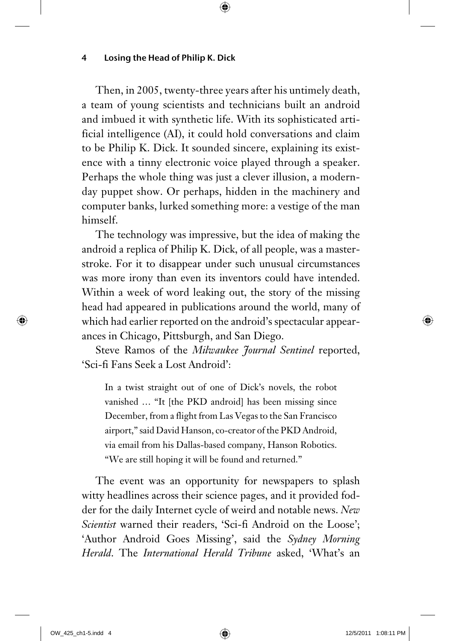### 4 Losing the Head of Philip K. Dick

Then, in 2005, twenty-three years after his untimely death, a team of young scientists and technicians built an android and imbued it with synthetic life. With its sophisticated artificial intelligence (AI), it could hold conversations and claim to be Philip K. Dick. It sounded sincere, explaining its existence with a tinny electronic voice played through a speaker. Perhaps the whole thing was just a clever illusion, a modernday puppet show. Or perhaps, hidden in the machinery and computer banks, lurked something more: a vestige of the man himself.

The technology was impressive, but the idea of making the android a replica of Philip K. Dick, of all people, was a masterstroke. For it to disappear under such unusual circumstances was more irony than even its inventors could have intended. Within a week of word leaking out, the story of the missing head had appeared in publications around the world, many of which had earlier reported on the android's spectacular appearances in Chicago, Pittsburgh, and San Diego.

Steve Ramos of the *Milwaukee Journal Sentinel* reported, 'Sci-fi Fans Seek a Lost Android':

In a twist straight out of one of Dick's novels, the robot vanished … "It [the PKD android] has been missing since December, from a flight from Las Vegas to the San Francisco airport," said David Hanson, co-creator of the PKD Android, via email from his Dallas-based company, Hanson Robotics. "We are still hoping it will be found and returned."

The event was an opportunity for newspapers to splash witty headlines across their science pages, and it provided fodder for the daily Internet cycle of weird and notable news. *New Scientist* warned their readers, 'Sci-fi Android on the Loose'; 'Author Android Goes Missing', said the *Sydney Morning Herald*. The *International Herald Tribune* asked, 'What's an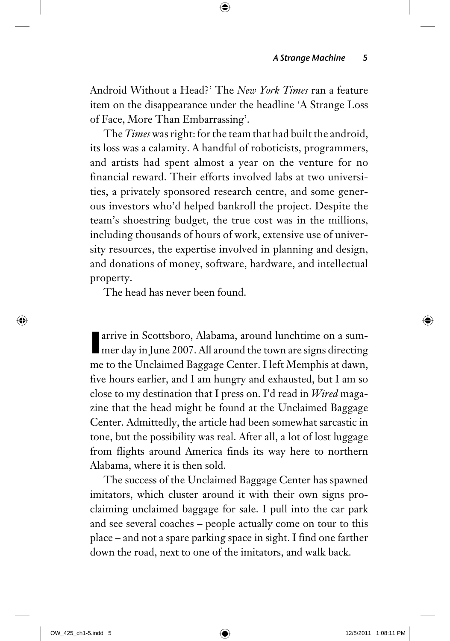Android Without a Head?' The *New York Times* ran a feature item on the disappearance under the headline 'A Strange Loss of Face, More Than Embarrassing'.

The *Times* was right: for the team that had built the android, its loss was a calamity. A handful of roboticists, programmers, and artists had spent almost a year on the venture for no financial reward. Their efforts involved labs at two universities, a privately sponsored research centre, and some generous investors who'd helped bankroll the project. Despite the team's shoestring budget, the true cost was in the millions, including thousands of hours of work, extensive use of university resources, the expertise involved in planning and design, and donations of money, software, hardware, and intellectual property.

The head has never been found.

arrive in Scottsboro, Alabama, around lunchtime on a summer day in June 2007. All around the town are signs directing arrive in Scottsboro, Alabama, around lunchtime on a summe to the Unclaimed Baggage Center. I left Memphis at dawn, five hours earlier, and I am hungry and exhausted, but I am so close to my destination that I press on. I'd read in *Wired* magazine that the head might be found at the Unclaimed Baggage Center. Admittedly, the article had been somewhat sarcastic in tone, but the possibility was real. After all, a lot of lost luggage from flights around America finds its way here to northern Alabama, where it is then sold.

The success of the Unclaimed Baggage Center has spawned imitators, which cluster around it with their own signs proclaiming unclaimed baggage for sale. I pull into the car park and see several coaches – people actually come on tour to this place – and not a spare parking space in sight. I find one farther down the road, next to one of the imitators, and walk back.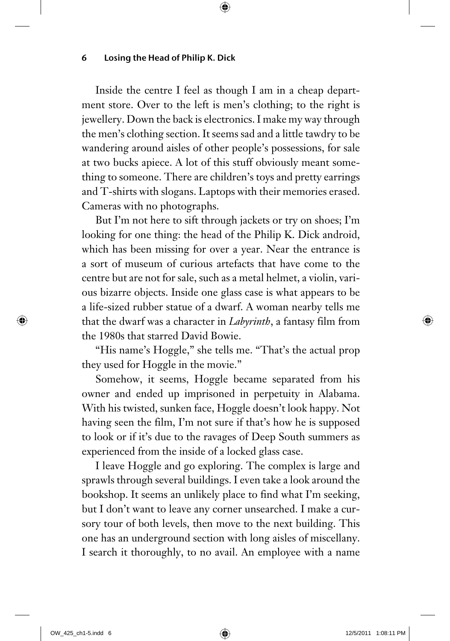### 6 Losing the Head of Philip K. Dick

Inside the centre I feel as though I am in a cheap department store. Over to the left is men's clothing; to the right is jewellery. Down the back is electronics. I make my way through the men's clothing section. It seems sad and a little tawdry to be wandering around aisles of other people's possessions, for sale at two bucks apiece. A lot of this stuff obviously meant something to someone. There are children's toys and pretty earrings and T-shirts with slogans. Laptops with their memories erased. Cameras with no photographs.

But I'm not here to sift through jackets or try on shoes; I'm looking for one thing: the head of the Philip K. Dick android, which has been missing for over a year. Near the entrance is a sort of museum of curious artefacts that have come to the centre but are not for sale, such as a metal helmet, a violin, various bizarre objects. Inside one glass case is what appears to be a life-sized rubber statue of a dwarf. A woman nearby tells me that the dwarf was a character in *Labyrinth*, a fantasy film from the 1980s that starred David Bowie.

"His name's Hoggle," she tells me. "That's the actual prop they used for Hoggle in the movie."

Somehow, it seems, Hoggle became separated from his owner and ended up imprisoned in perpetuity in Alabama. With his twisted, sunken face, Hoggle doesn't look happy. Not having seen the film, I'm not sure if that's how he is supposed to look or if it's due to the ravages of Deep South summers as experienced from the inside of a locked glass case.

I leave Hoggle and go exploring. The complex is large and sprawls through several buildings. I even take a look around the bookshop. It seems an unlikely place to find what I'm seeking, but I don't want to leave any corner unsearched. I make a cursory tour of both levels, then move to the next building. This one has an underground section with long aisles of miscellany. I search it thoroughly, to no avail. An employee with a name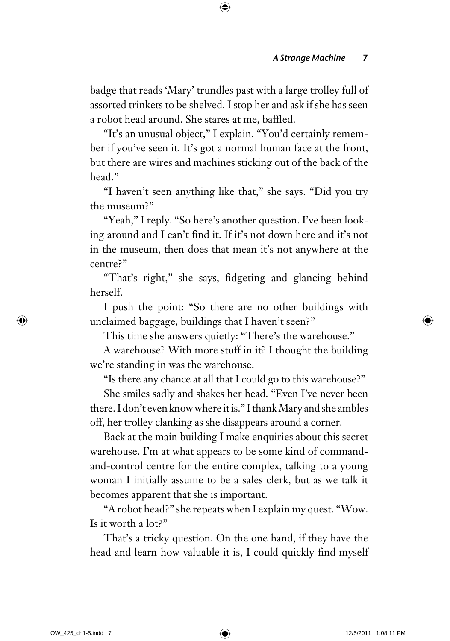badge that reads 'Mary' trundles past with a large trolley full of assorted trinkets to be shelved. I stop her and ask if she has seen a robot head around. She stares at me, baffled.

"It's an unusual object," I explain. "You'd certainly remember if you've seen it. It's got a normal human face at the front, but there are wires and machines sticking out of the back of the head."

"I haven't seen anything like that," she says. "Did you try the museum?"

"Yeah," I reply. "So here's another question. I've been looking around and I can't find it. If it's not down here and it's not in the museum, then does that mean it's not anywhere at the centre?"

"That's right," she says, fidgeting and glancing behind herself.

I push the point: "So there are no other buildings with unclaimed baggage, buildings that I haven't seen?"

This time she answers quietly: "There's the warehouse."

A warehouse? With more stuff in it? I thought the building we're standing in was the warehouse.

"Is there any chance at all that I could go to this warehouse?"

She smiles sadly and shakes her head. "Even I've never been there. I don't even know where it is." I thank Mary and she ambles off, her trolley clanking as she disappears around a corner.

Back at the main building I make enquiries about this secret warehouse. I'm at what appears to be some kind of commandand-control centre for the entire complex, talking to a young woman I initially assume to be a sales clerk, but as we talk it becomes apparent that she is important.

"A robot head?" she repeats when I explain my quest. "Wow. Is it worth a lot?"

That's a tricky question. On the one hand, if they have the head and learn how valuable it is, I could quickly find myself